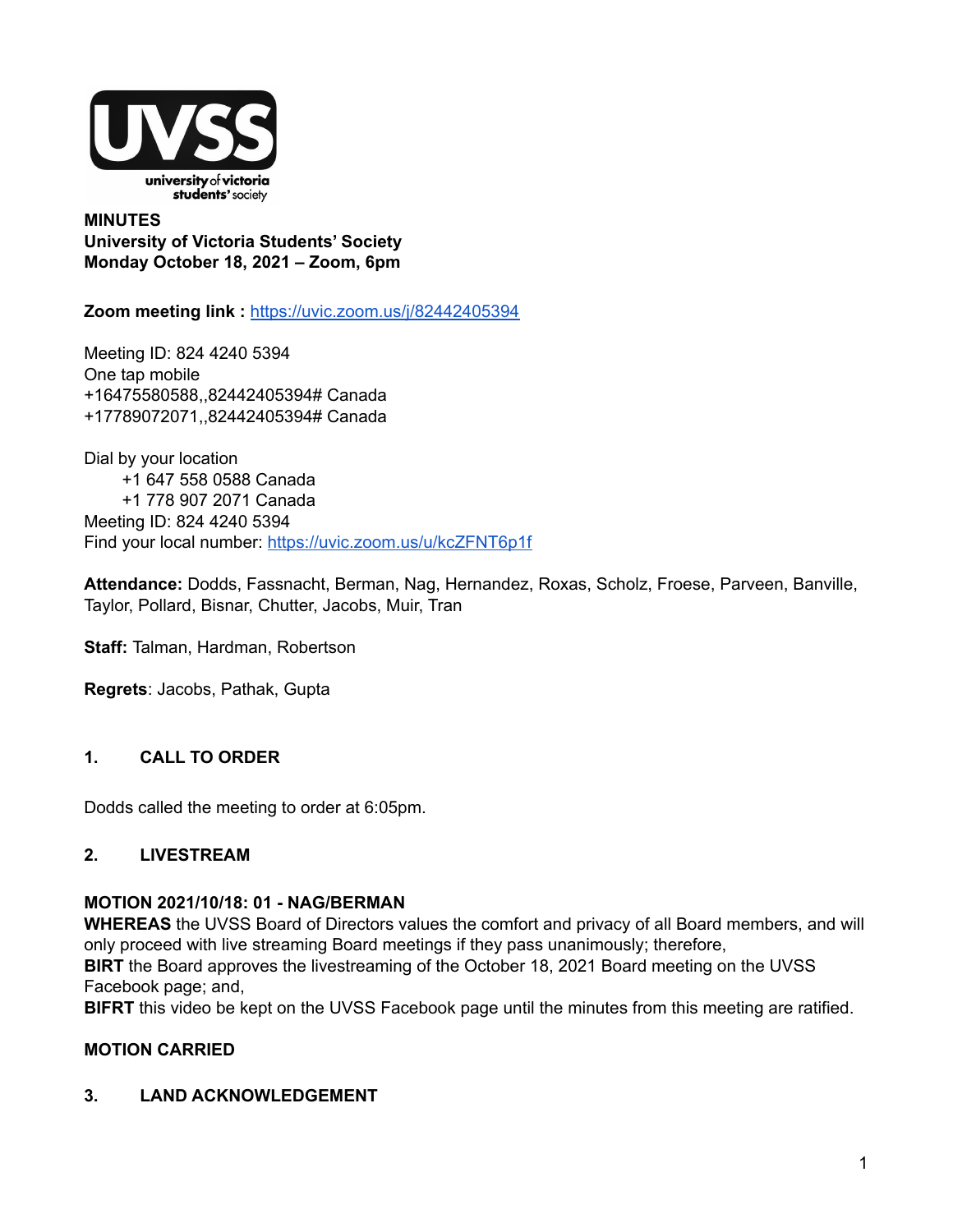

**MINUTES University of Victoria Students' Society Monday October 18, 2021 – Zoom, 6pm**

**Zoom meeting link :** <https://uvic.zoom.us/j/82442405394>

Meeting ID: 824 4240 5394 One tap mobile +16475580588,,82442405394# Canada +17789072071,,82442405394# Canada

Dial by your location +1 647 558 0588 Canada +1 778 907 2071 Canada Meeting ID: 824 4240 5394 Find your local number: <https://uvic.zoom.us/u/kcZFNT6p1f>

**Attendance:** Dodds, Fassnacht, Berman, Nag, Hernandez, Roxas, Scholz, Froese, Parveen, Banville, Taylor, Pollard, Bisnar, Chutter, Jacobs, Muir, Tran

**Staff:** Talman, Hardman, Robertson

**Regrets**: Jacobs, Pathak, Gupta

#### **1. CALL TO ORDER**

Dodds called the meeting to order at 6:05pm.

### **2. LIVESTREAM**

## **MOTION 2021/10/18: 01 - NAG/BERMAN**

**WHEREAS** the UVSS Board of Directors values the comfort and privacy of all Board members, and will only proceed with live streaming Board meetings if they pass unanimously; therefore,

**BIRT** the Board approves the livestreaming of the October 18, 2021 Board meeting on the UVSS Facebook page; and,

**BIFRT** this video be kept on the UVSS Facebook page until the minutes from this meeting are ratified.

#### **MOTION CARRIED**

#### **3. LAND ACKNOWLEDGEMENT**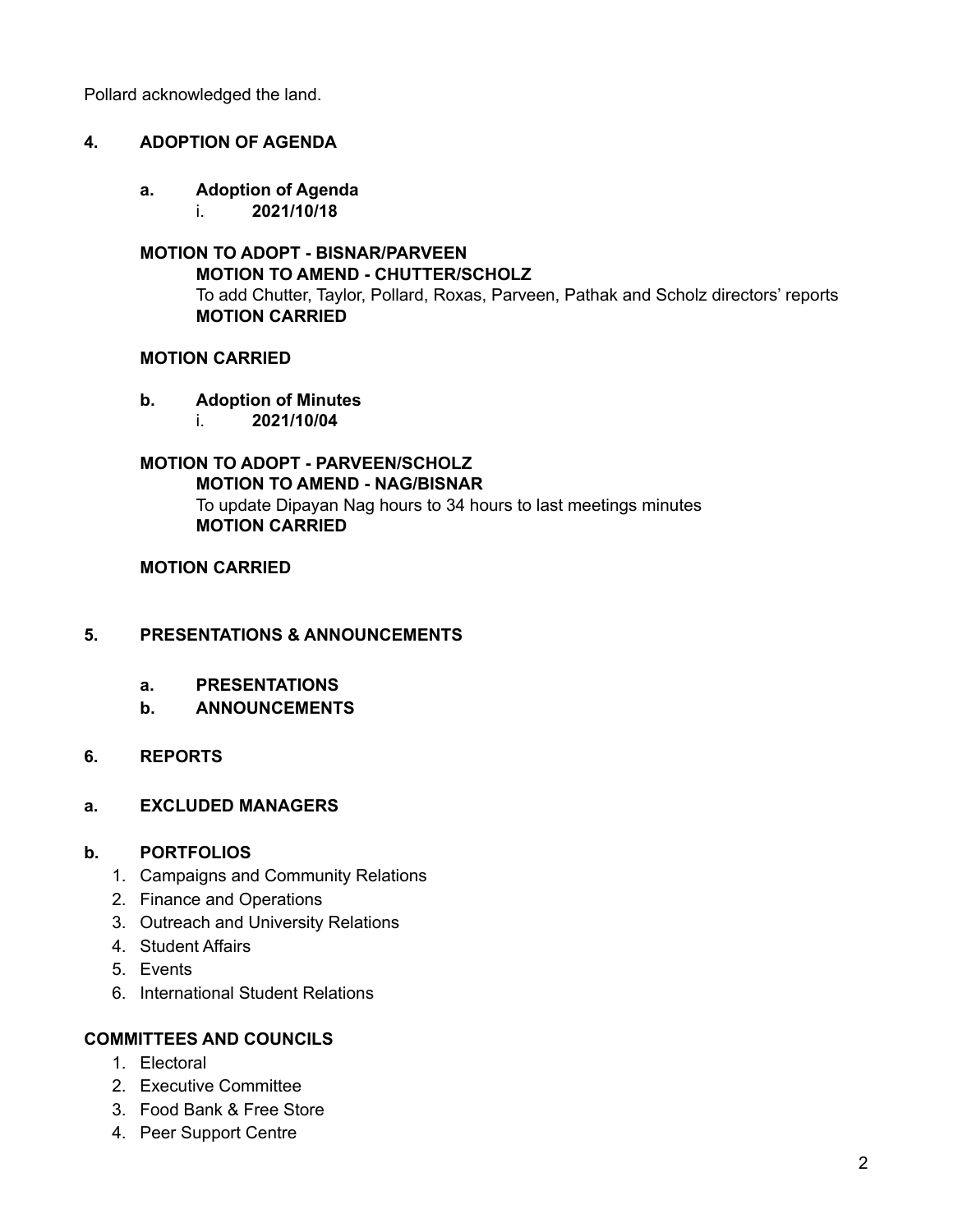Pollard acknowledged the land.

#### **4. ADOPTION OF AGENDA**

- **a. Adoption of Agenda**
	- i. **2021/10/18**

#### **MOTION TO ADOPT - BISNAR/PARVEEN MOTION TO AMEND - CHUTTER/SCHOLZ** To add Chutter, Taylor, Pollard, Roxas, Parveen, Pathak and Scholz directors' reports **MOTION CARRIED**

#### **MOTION CARRIED**

#### **b. Adoption of Minutes**

i. **2021/10/04**

# **MOTION TO ADOPT - PARVEEN/SCHOLZ**

**MOTION TO AMEND - NAG/BISNAR** To update Dipayan Nag hours to 34 hours to last meetings minutes **MOTION CARRIED**

#### **MOTION CARRIED**

#### **5. PRESENTATIONS & ANNOUNCEMENTS**

- **a. PRESENTATIONS**
- **b. ANNOUNCEMENTS**

#### **6. REPORTS**

#### **a. EXCLUDED MANAGERS**

#### **b. PORTFOLIOS**

- 1. Campaigns and Community Relations
- 2. Finance and Operations
- 3. Outreach and University Relations
- 4. Student Affairs
- 5. Events
- 6. International Student Relations

#### **COMMITTEES AND COUNCILS**

- 1. Electoral
- 2. Executive Committee
- 3. Food Bank & Free Store
- 4. Peer Support Centre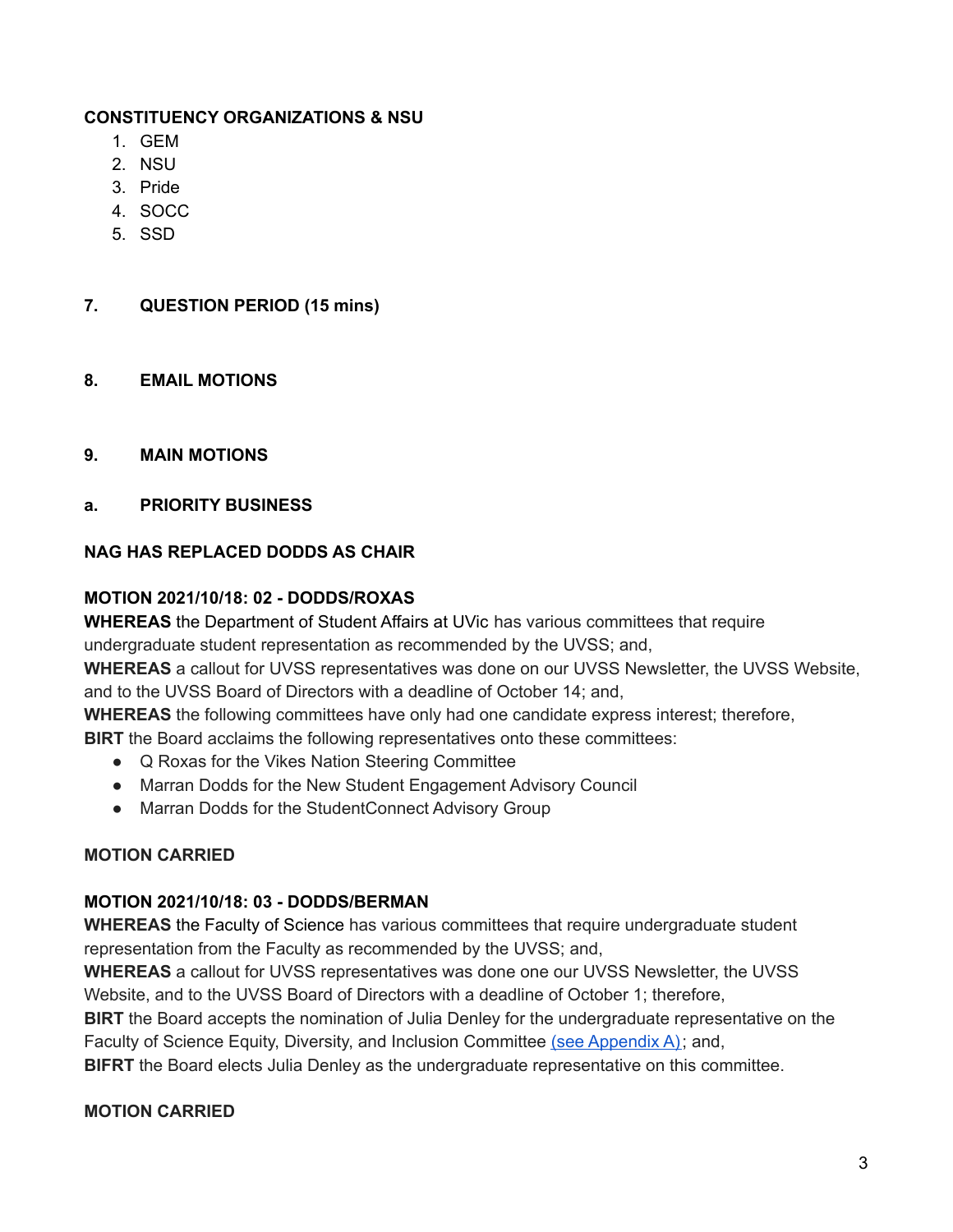## **CONSTITUENCY ORGANIZATIONS & NSU**

- 1. GEM
- 2. NSU
- 3. Pride
- 4. SOCC
- 5. SSD
- **7. QUESTION PERIOD (15 mins)**
- **8. EMAIL MOTIONS**
- **9. MAIN MOTIONS**
- **a. PRIORITY BUSINESS**

## **NAG HAS REPLACED DODDS AS CHAIR**

## **MOTION 2021/10/18: 02 - DODDS/ROXAS**

**WHEREAS** the Department of Student Affairs at UVic has various committees that require undergraduate student representation as recommended by the UVSS; and,

**WHEREAS** a callout for UVSS representatives was done on our UVSS Newsletter, the UVSS Website, and to the UVSS Board of Directors with a deadline of October 14; and,

**WHEREAS** the following committees have only had one candidate express interest; therefore,

**BIRT** the Board acclaims the following representatives onto these committees:

- Q Roxas for the Vikes Nation Steering Committee
- Marran Dodds for the New Student Engagement Advisory Council
- Marran Dodds for the StudentConnect Advisory Group

## **MOTION CARRIED**

## **MOTION 2021/10/18: 03 - DODDS/BERMAN**

**WHEREAS** the Faculty of Science has various committees that require undergraduate student representation from the Faculty as recommended by the UVSS; and,

**WHEREAS** a callout for UVSS representatives was done one our UVSS Newsletter, the UVSS Website, and to the UVSS Board of Directors with a deadline of October 1; therefore,

**BIRT** the Board accepts the nomination of Julia Denley for the undergraduate representative on the Faculty of Science Equity, Diversity, and Inclusion Committee (see [Appendix](https://docs.google.com/document/d/1wB15m-iOgc9UYzTzCBamDYB8M4m8w1LLw4U4f3oun2Y/edit?usp=sharing) A); and,

**BIFRT** the Board elects Julia Denley as the undergraduate representative on this committee.

#### **MOTION CARRIED**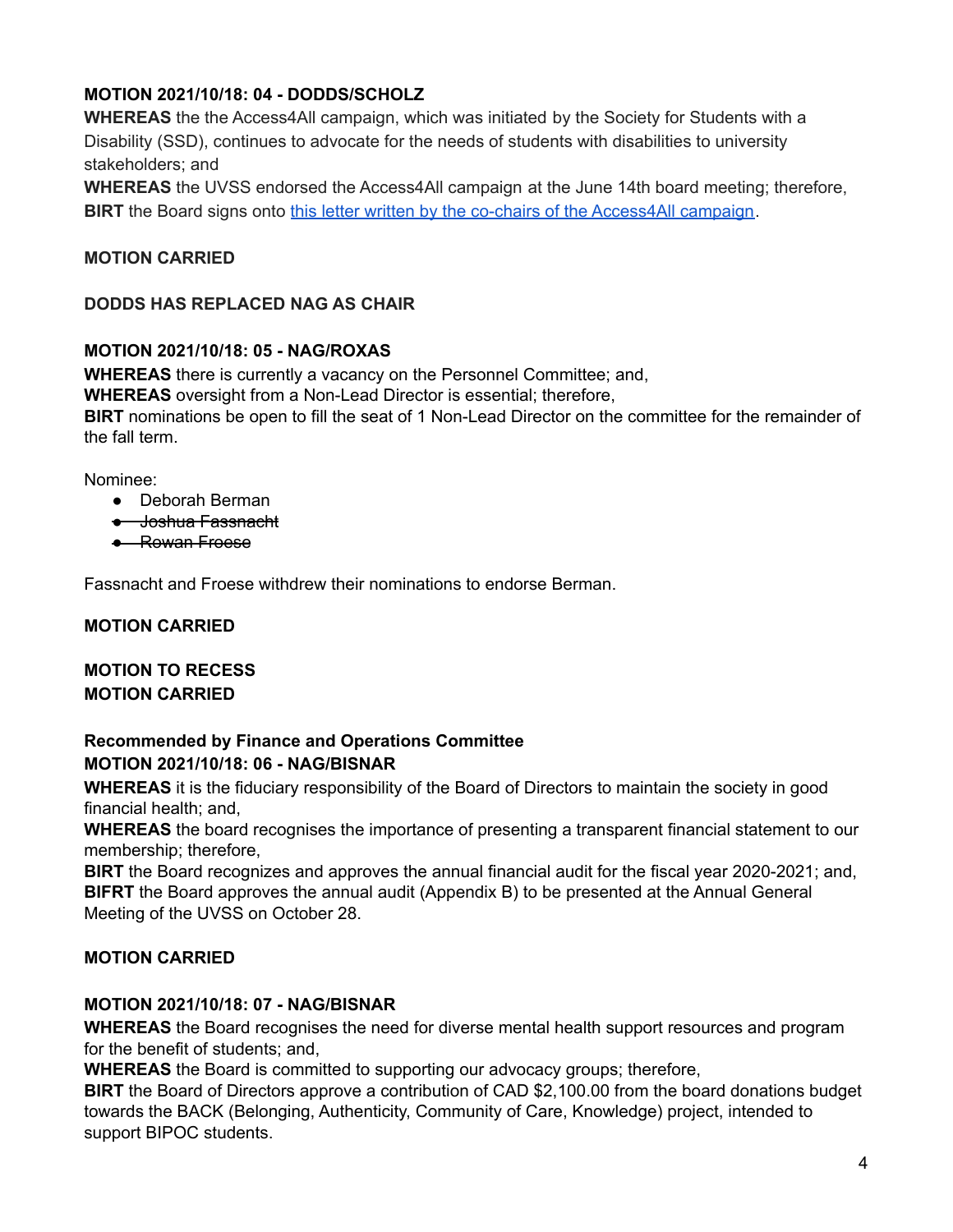# **MOTION 2021/10/18: 04 - DODDS/SCHOLZ**

**WHEREAS** the the Access4All campaign, which was initiated by the Society for Students with a Disability (SSD), continues to advocate for the needs of students with disabilities to university stakeholders; and

**WHEREAS** the UVSS endorsed the Access4All campaign at the June 14th board meeting; therefore, **BIRT** the Board signs onto this letter written by the co-chairs of the [Access4All](https://docs.google.com/document/d/1LDG2qegfHGib2dLntDjjhGyWj-XOABz-12zY7xf_IjQ/edit?usp=sharing) campaign.

## **MOTION CARRIED**

#### **DODDS HAS REPLACED NAG AS CHAIR**

#### **MOTION 2021/10/18: 05 - NAG/ROXAS**

**WHEREAS** there is currently a vacancy on the Personnel Committee; and, **WHEREAS** oversight from a Non-Lead Director is essential; therefore, **BIRT** nominations be open to fill the seat of 1 Non-Lead Director on the committee for the remainder of the fall term.

Nominee:

- Deborah Berman
- Joshua Fassnacht
- Rowan Froese

Fassnacht and Froese withdrew their nominations to endorse Berman.

#### **MOTION CARRIED**

## **MOTION TO RECESS MOTION CARRIED**

## **Recommended by Finance and Operations Committee MOTION 2021/10/18: 06 - NAG/BISNAR**

**WHEREAS** it is the fiduciary responsibility of the Board of Directors to maintain the society in good financial health; and,

**WHEREAS** the board recognises the importance of presenting a transparent financial statement to our membership; therefore,

**BIRT** the Board recognizes and approves the annual financial audit for the fiscal year 2020-2021; and, **BIFRT** the Board approves the annual audit (Appendix B) to be presented at the Annual General Meeting of the UVSS on October 28.

#### **MOTION CARRIED**

#### **MOTION 2021/10/18: 07 - NAG/BISNAR**

**WHEREAS** the Board recognises the need for diverse mental health support resources and program for the benefit of students; and,

**WHEREAS** the Board is committed to supporting our advocacy groups; therefore,

**BIRT** the Board of Directors approve a contribution of CAD \$2,100.00 from the board donations budget towards the BACK (Belonging, Authenticity, Community of Care, Knowledge) project, intended to support BIPOC students.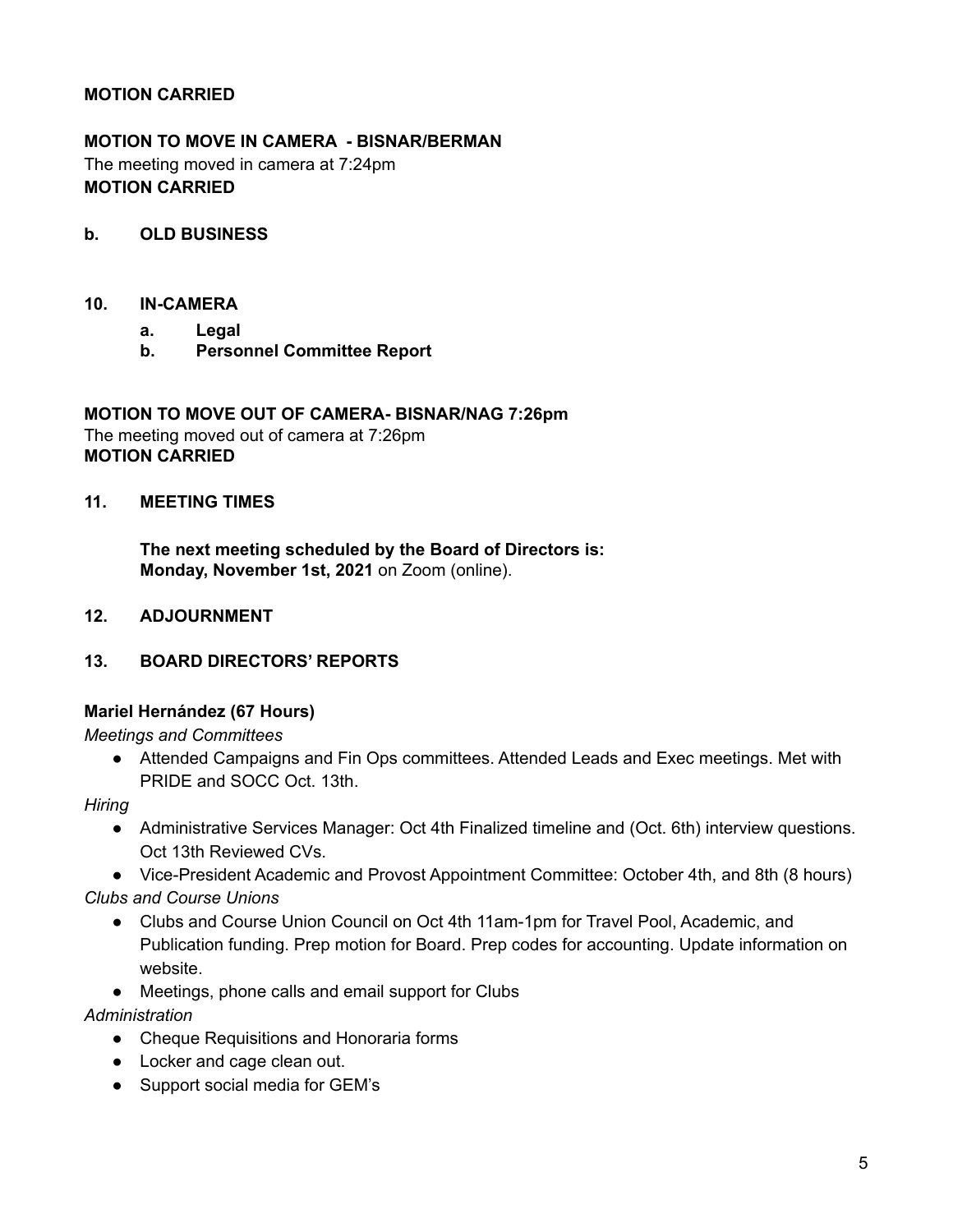## **MOTION CARRIED**

# **MOTION TO MOVE IN CAMERA - BISNAR/BERMAN** The meeting moved in camera at 7:24pm **MOTION CARRIED**

#### **b. OLD BUSINESS**

#### **10. IN-CAMERA**

- **a. Legal**
- **b. Personnel Committee Report**

**MOTION TO MOVE OUT OF CAMERA- BISNAR/NAG 7:26pm** The meeting moved out of camera at 7:26pm **MOTION CARRIED**

## **11. MEETING TIMES**

**The next meeting scheduled by the Board of Directors is: Monday, November 1st, 2021** on Zoom (online).

- **12. ADJOURNMENT**
- **13. BOARD DIRECTORS' REPORTS**

#### **Mariel Hernández (67 Hours)**

*Meetings and Committees*

• Attended Campaigns and Fin Ops committees. Attended Leads and Exec meetings. Met with PRIDE and SOCC Oct. 13th.

#### *Hiring*

- Administrative Services Manager: Oct 4th Finalized timeline and (Oct. 6th) interview questions. Oct 13th Reviewed CVs.
- Vice-President Academic and Provost Appointment Committee: October 4th, and 8th (8 hours) *Clubs and Course Unions*
	- Clubs and Course Union Council on Oct 4th 11am-1pm for Travel Pool, Academic, and Publication funding. Prep motion for Board. Prep codes for accounting. Update information on website.
	- Meetings, phone calls and email support for Clubs

#### *Administration*

- Cheque Requisitions and Honoraria forms
- Locker and cage clean out.
- Support social media for GEM's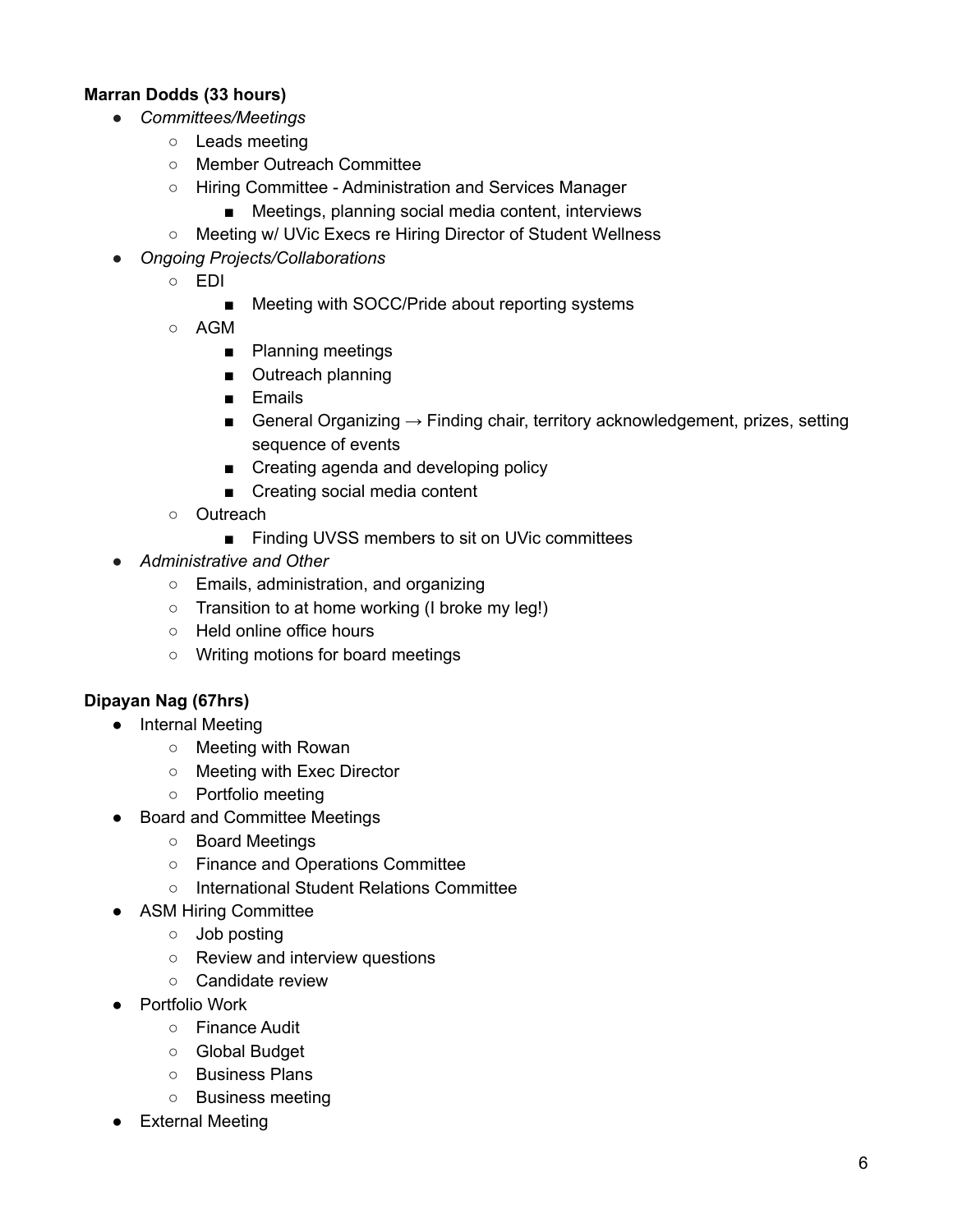## **Marran Dodds (33 hours)**

- *Committees/Meetings*
	- Leads meeting
	- Member Outreach Committee
	- Hiring Committee Administration and Services Manager
		- Meetings, planning social media content, interviews
	- Meeting w/ UVic Execs re Hiring Director of Student Wellness
- *Ongoing Projects/Collaborations*
	- EDI
		- Meeting with SOCC/Pride about reporting systems
	- AGM
		- Planning meetings
		- Outreach planning
		- Emails
		- General Organizing  $\rightarrow$  Finding chair, territory acknowledgement, prizes, setting sequence of events
		- Creating agenda and developing policy
		- Creating social media content
	- Outreach
		- Finding UVSS members to sit on UVic committees
- *Administrative and Other*
	- Emails, administration, and organizing
	- Transition to at home working (I broke my leg!)
	- Held online office hours
	- Writing motions for board meetings

# **Dipayan Nag (67hrs)**

- Internal Meeting
	- Meeting with Rowan
	- Meeting with Exec Director
	- Portfolio meeting
- Board and Committee Meetings
	- Board Meetings
	- Finance and Operations Committee
	- International Student Relations Committee
- ASM Hiring Committee
	- Job posting
	- Review and interview questions
	- Candidate review
- Portfolio Work
	- Finance Audit
	- Global Budget
	- Business Plans
	- Business meeting
- **External Meeting**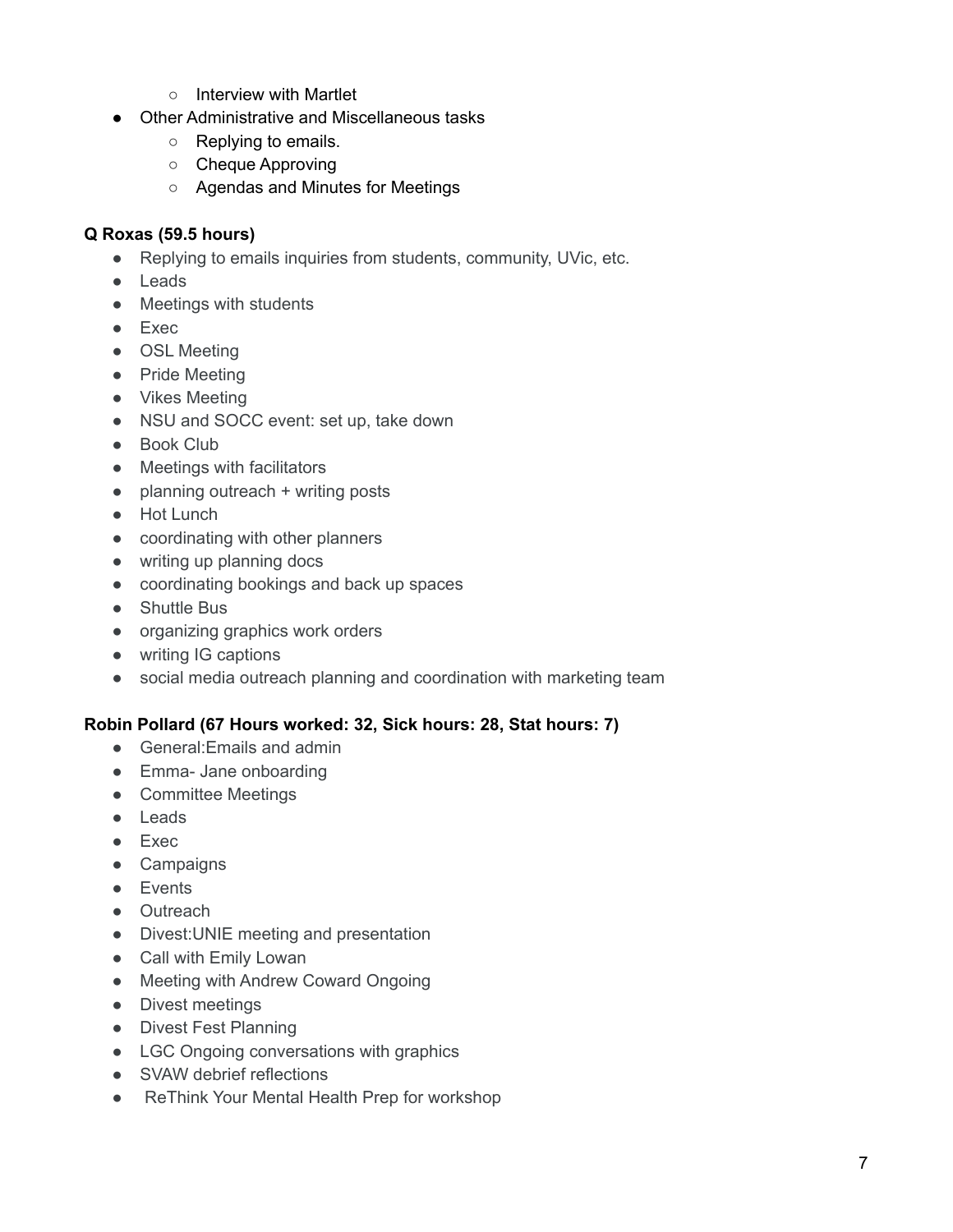- Interview with Martlet
- Other Administrative and Miscellaneous tasks
	- Replying to emails.
	- Cheque Approving
	- Agendas and Minutes for Meetings

#### **Q Roxas (59.5 hours)**

- Replying to emails inquiries from students, community, UVic, etc.
- Leads
- Meetings with students
- Exec
- OSL Meeting
- Pride Meeting
- Vikes Meeting
- NSU and SOCC event: set up, take down
- Book Club
- Meetings with facilitators
- $\bullet$  planning outreach  $+$  writing posts
- Hot Lunch
- coordinating with other planners
- writing up planning docs
- coordinating bookings and back up spaces
- Shuttle Bus
- organizing graphics work orders
- writing IG captions
- social media outreach planning and coordination with marketing team

#### **Robin Pollard (67 Hours worked: 32, Sick hours: 28, Stat hours: 7)**

- General:Emails and admin
- Emma- Jane onboarding
- Committee Meetings
- Leads
- Exec
- Campaigns
- Events
- Outreach
- Divest:UNIE meeting and presentation
- Call with Emily Lowan
- Meeting with Andrew Coward Ongoing
- Divest meetings
- Divest Fest Planning
- LGC Ongoing conversations with graphics
- SVAW debrief reflections
- ReThink Your Mental Health Prep for workshop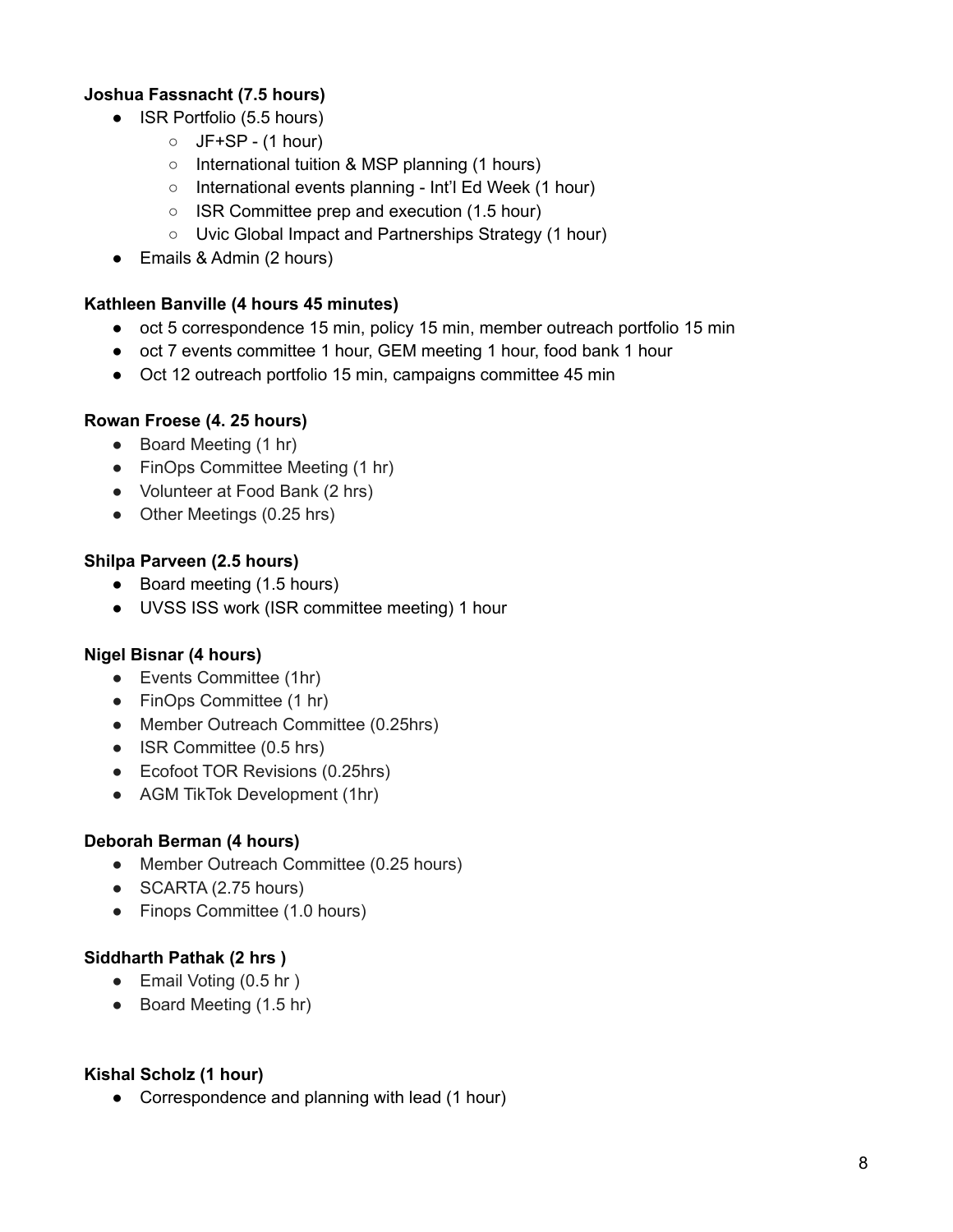## **Joshua Fassnacht (7.5 hours)**

- ISR Portfolio (5.5 hours)
	- $O$  JF+SP (1 hour)
	- International tuition & MSP planning (1 hours)
	- International events planning Int'l Ed Week (1 hour)
	- ISR Committee prep and execution (1.5 hour)
	- Uvic Global Impact and Partnerships Strategy (1 hour)
- Emails & Admin (2 hours)

### **Kathleen Banville (4 hours 45 minutes)**

- oct 5 correspondence 15 min, policy 15 min, member outreach portfolio 15 min
- oct 7 events committee 1 hour, GEM meeting 1 hour, food bank 1 hour
- Oct 12 outreach portfolio 15 min, campaigns committee 45 min

## **Rowan Froese (4. 25 hours)**

- Board Meeting (1 hr)
- FinOps Committee Meeting (1 hr)
- Volunteer at Food Bank (2 hrs)
- Other Meetings (0.25 hrs)

#### **Shilpa Parveen (2.5 hours)**

- Board meeting (1.5 hours)
- UVSS ISS work (ISR committee meeting) 1 hour

## **Nigel Bisnar (4 hours)**

- Events Committee (1hr)
- FinOps Committee (1 hr)
- Member Outreach Committee (0.25hrs)
- ISR Committee (0.5 hrs)
- Ecofoot TOR Revisions (0.25hrs)
- AGM TikTok Development (1hr)

#### **Deborah Berman (4 hours)**

- Member Outreach Committee (0.25 hours)
- SCARTA (2.75 hours)
- Finops Committee (1.0 hours)

#### **Siddharth Pathak (2 hrs )**

- Email Voting (0.5 hr)
- Board Meeting (1.5 hr)

#### **Kishal Scholz (1 hour)**

• Correspondence and planning with lead (1 hour)